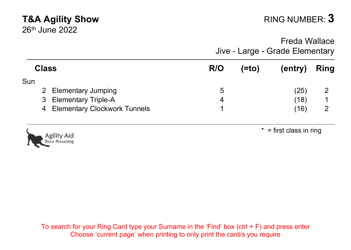# **T&A Agility Show** RING NUMBER: **3**

26th June 2022

 $*$  = first class in ring

Freda Wallace Jive - Large - Grade Elementary

| <b>Class</b> |                                | R/O | (=to) | (entry) | Ring |
|--------------|--------------------------------|-----|-------|---------|------|
| Sun          |                                |     |       |         |      |
|              | 2 Elementary Jumping           | 5   |       | (25)    |      |
|              | 3 Elementary Triple-A          |     |       | (18)    |      |
|              | 4 Elementary Clockwork Tunnels |     |       | (16)    |      |



oility Aid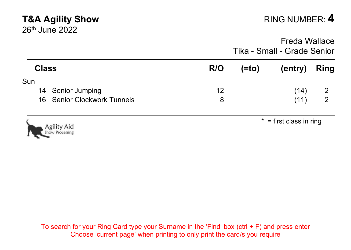### **T&A Agility Show RING NUMBER: 4** 26th June 2022 Freda Wallace Tika - Small - Grade Senior **Class R/O (=to) (entry) Ring** Sun 14 Senior Jumping 12 (14) 2<br>16 Senior Clockwork Tunnels 12 (15) 8 (11) 2 16 Senior Clockwork Tunnels **8 12 Senior Clockwork Tunnels** (11)  $*$  = first class in ring oility Aid Processing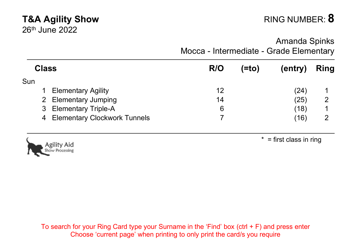# **T&A Agility Show** RING NUMBER: **8**

Amanda Spinks Mocca - Intermediate - Grade Elementary

| <b>Class</b> |                                | R/O | (=to | (entry) | Ring |
|--------------|--------------------------------|-----|------|---------|------|
| Sun          |                                |     |      |         |      |
|              | <b>Elementary Agility</b>      | 12  |      | (24)    |      |
|              | 2 Elementary Jumping           | 14  |      | (25)    | 2    |
|              | 3 Elementary Triple-A          | 6   |      | (18)    |      |
|              | 4 Elementary Clockwork Tunnels |     |      | (16)    |      |



 $* =$  first class in ring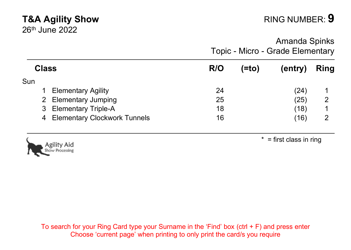## **T&A Agility Show** RING NUMBER: **9**

26th June 2022

Amanda Spinks Topic - Micro - Grade Elementary

| <b>Class</b> |                                | R/O | (=to | (entry) | Ring |
|--------------|--------------------------------|-----|------|---------|------|
| Sun          |                                |     |      |         |      |
|              | <b>Elementary Agility</b>      | 24  |      | (24)    |      |
|              | 2 Elementary Jumping           | 25  |      | (25)    | 2    |
|              | 3 Elementary Triple-A          | 18  |      | (18)    |      |
|              | 4 Elementary Clockwork Tunnels | 16  |      | (16)    | 2    |



 $* =$  first class in ring